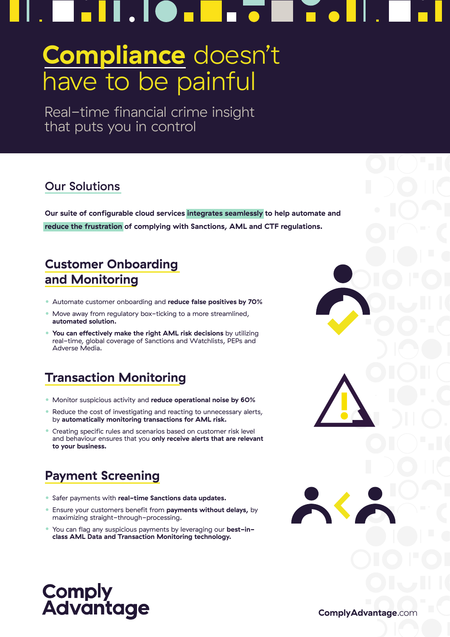# I . I **O . I** H

# **Compliance** doesn't have to be painful

Real-time financial crime insight that puts you in control

### Our Solutions

**Our suite of configurable cloud services integrates seamlessly to help automate and reduce the frustration of complying with Sanctions, AML and CTF regulations.** 

## **Customer Onboarding and Monitoring**

- Automate customer onboarding and **reduce false positives by 70%**
- Move away from regulatory box-ticking to a more streamlined, **automated solution.**
- **You can effectively make the right AML risk decisions** by utilizing real-time, global coverage of Sanctions and Watchlists, PEPs and Adverse Media.

# **Transaction Monitoring**

- Monitor suspicious activity and **reduce operational noise by 60%**
- Reduce the cost of investigating and reacting to unnecessary alerts, by **automatically monitoring transactions for AML risk.**
- Creating specific rules and scenarios based on customer risk level and behaviour ensures that you **only receive alerts that are relevant to your business.**

# **Payment Screening**

- Safer payments with **real-time Sanctions data updates.**
- Ensure your customers benefit from **payments without delays,** by maximizing straight-through-processing.
- You can flag any suspicious payments by leveraging our **best-inclass AML Data and Transaction Monitoring technology.**



**ComplyAdvantage**.com